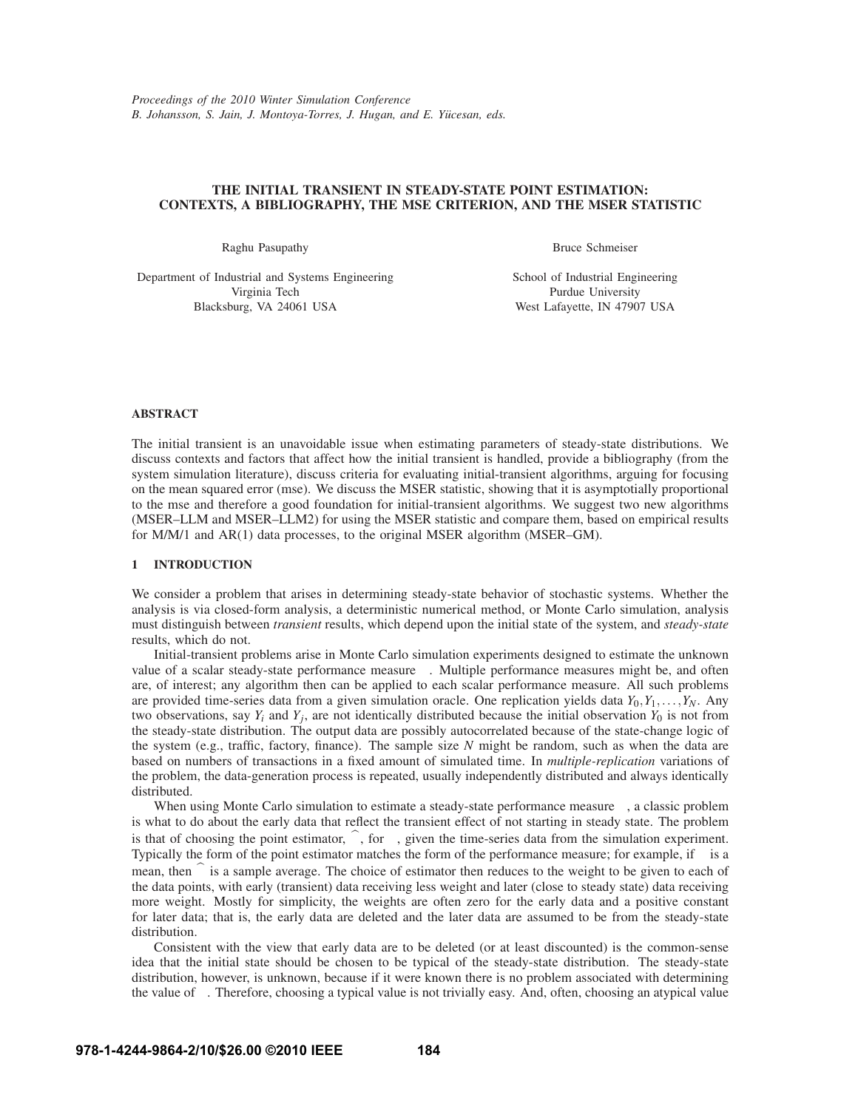# **THE INITIAL TRANSIENT IN STEADY-STATE POINT ESTIMATION: CONTEXTS, A BIBLIOGRAPHY, THE MSE CRITERION, AND THE MSER STATISTIC**

Raghu Pasupathy

Bruce Schmeiser

Department of Industrial and Systems Engineering Virginia Tech Blacksburg, VA 24061 USA

School of Industrial Engineering Purdue University West Lafayette, IN 47907 USA

# **ABSTRACT**

The initial transient is an unavoidable issue when estimating parameters of steady-state distributions. We discuss contexts and factors that affect how the initial transient is handled, provide a bibliography (from the system simulation literature), discuss criteria for evaluating initial-transient algorithms, arguing for focusing on the mean squared error (mse). We discuss the MSER statistic, showing that it is asymptotially proportional to the mse and therefore a good foundation for initial-transient algorithms. We suggest two new algorithms (MSER–LLM and MSER–LLM2) for using the MSER statistic and compare them, based on empirical results for M/M/1 and AR(1) data processes, to the original MSER algorithm (MSER–GM).

## **1 INTRODUCTION**

We consider a problem that arises in determining steady-state behavior of stochastic systems. Whether the analysis is via closed-form analysis, a deterministic numerical method, or Monte Carlo simulation, analysis must distinguish between *transient* results, which depend upon the initial state of the system, and *steady-state* results, which do not.

Initial-transient problems arise in Monte Carlo simulation experiments designed to estimate the unknown value of a scalar steady-state performance measure θ. Multiple performance measures might be, and often are, of interest; any algorithm then can be applied to each scalar performance measure. All such problems are provided time-series data from a given simulation oracle. One replication yields data  $Y_0, Y_1, \ldots, Y_N$ . Any two observations, say  $Y_i$  and  $Y_j$ , are not identically distributed because the initial observation  $Y_0$  is not from the steady-state distribution. The output data are possibly autocorrelated because of the state-change logic of the system (e.g., traffic, factory, finance). The sample size *N* might be random, such as when the data are based on numbers of transactions in a fixed amount of simulated time. In *multiple-replication* variations of the problem, the data-generation process is repeated, usually independently distributed and always identically distributed.

When using Monte Carlo simulation to estimate a steady-state performance measure  $\theta$ , a classic problem is what to do about the early data that reflect the transient effect of not starting in steady state. The problem is that of choosing the point estimator,  $\hat{\Theta}$ , for  $\theta$ , given the time-series data from the simulation experiment. Typically the form of the point estimator matches the form of the performance measure; for example, if θ is a mean, then  $\widehat{\Theta}$  is a sample average. The choice of estimator then reduces to the weight to be given to each of the data points, with early (transient) data receiving less weight and later (close to steady state) data receiving more weight. Mostly for simplicity, the weights are often zero for the early data and a positive constant for later data; that is, the early data are deleted and the later data are assumed to be from the steady-state distribution.

Consistent with the view that early data are to be deleted (or at least discounted) is the common-sense idea that the initial state should be chosen to be typical of the steady-state distribution. The steady-state distribution, however, is unknown, because if it were known there is no problem associated with determining the value of θ. Therefore, choosing a typical value is not trivially easy. And, often, choosing an atypical value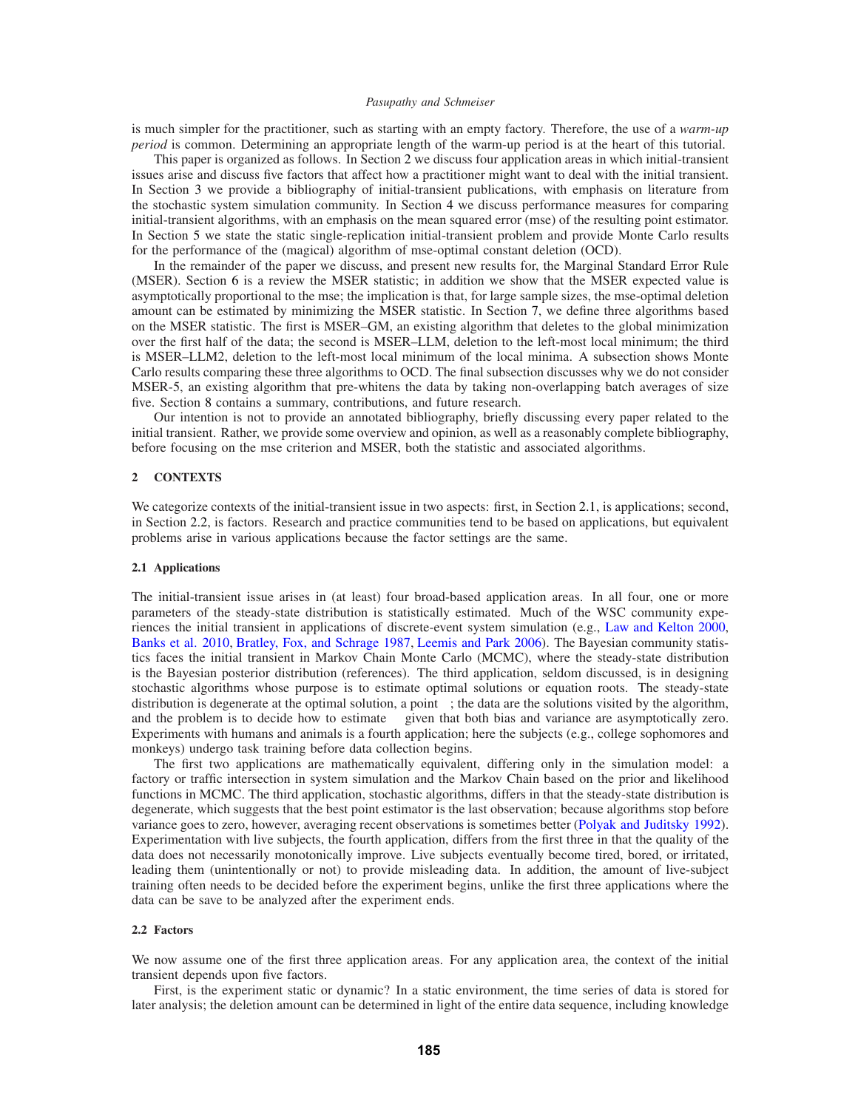is much simpler for the practitioner, such as starting with an empty factory. Therefore, the use of a *warm-up period* is common. Determining an appropriate length of the warm-up period is at the heart of this tutorial.

This paper is organized as follows. In Section 2 we discuss four application areas in which initial-transient issues arise and discuss five factors that affect how a practitioner might want to deal with the initial transient. In Section 3 we provide a bibliography of initial-transient publications, with emphasis on literature from the stochastic system simulation community. In Section 4 we discuss performance measures for comparing initial-transient algorithms, with an emphasis on the mean squared error (mse) of the resulting point estimator. In Section 5 we state the static single-replication initial-transient problem and provide Monte Carlo results for the performance of the (magical) algorithm of mse-optimal constant deletion (OCD).

In the remainder of the paper we discuss, and present new results for, the Marginal Standard Error Rule (MSER). Section 6 is a review the MSER statistic; in addition we show that the MSER expected value is asymptotically proportional to the mse; the implication is that, for large sample sizes, the mse-optimal deletion amount can be estimated by minimizing the MSER statistic. In Section 7, we define three algorithms based on the MSER statistic. The first is MSER–GM, an existing algorithm that deletes to the global minimization over the first half of the data; the second is MSER–LLM, deletion to the left-most local minimum; the third is MSER–LLM2, deletion to the left-most local minimum of the local minima. A subsection shows Monte Carlo results comparing these three algorithms to OCD. The final subsection discusses why we do not consider MSER-5, an existing algorithm that pre-whitens the data by taking non-overlapping batch averages of size five. Section 8 contains a summary, contributions, and future research.

Our intention is not to provide an annotated bibliography, briefly discussing every paper related to the initial transient. Rather, we provide some overview and opinion, as well as a reasonably complete bibliography, before focusing on the mse criterion and MSER, both the statistic and associated algorithms.

## **2 CONTEXTS**

We categorize contexts of the initial-transient issue in two aspects: first, in Section 2.1, is applications; second, in Section 2.2, is factors. Research and practice communities tend to be based on applications, but equivalent problems arise in various applications because the factor settings are the same.

### **2.1 Applications**

The initial-transient issue arises in (at least) four broad-based application areas. In all four, one or more parameters of the steady-state distribution is statistically estimated. Much of the WSC community experiences the initial transient in applications of discrete-event system simulation (e.g., Law and Kelton 2000, Banks et al. 2010, Bratley, Fox, and Schrage 1987, Leemis and Park 2006). The Bayesian community statistics faces the initial transient in Markov Chain Monte Carlo (MCMC), where the steady-state distribution is the Bayesian posterior distribution (references). The third application, seldom discussed, is in designing stochastic algorithms whose purpose is to estimate optimal solutions or equation roots. The steady-state distribution is degenerate at the optimal solution, a point  $\theta$ ; the data are the solutions visited by the algorithm, and the problem is to decide how to estimate  $\theta$  given that both bias and variance are asymptotically zero. Experiments with humans and animals is a fourth application; here the subjects (e.g., college sophomores and monkeys) undergo task training before data collection begins.

The first two applications are mathematically equivalent, differing only in the simulation model: a factory or traffic intersection in system simulation and the Markov Chain based on the prior and likelihood functions in MCMC. The third application, stochastic algorithms, differs in that the steady-state distribution is degenerate, which suggests that the best point estimator is the last observation; because algorithms stop before variance goes to zero, however, averaging recent observations is sometimes better (Polyak and Juditsky 1992). Experimentation with live subjects, the fourth application, differs from the first three in that the quality of the data does not necessarily monotonically improve. Live subjects eventually become tired, bored, or irritated, leading them (unintentionally or not) to provide misleading data. In addition, the amount of live-subject training often needs to be decided before the experiment begins, unlike the first three applications where the data can be save to be analyzed after the experiment ends.

## **2.2 Factors**

We now assume one of the first three application areas. For any application area, the context of the initial transient depends upon five factors.

First, is the experiment static or dynamic? In a static environment, the time series of data is stored for later analysis; the deletion amount can be determined in light of the entire data sequence, including knowledge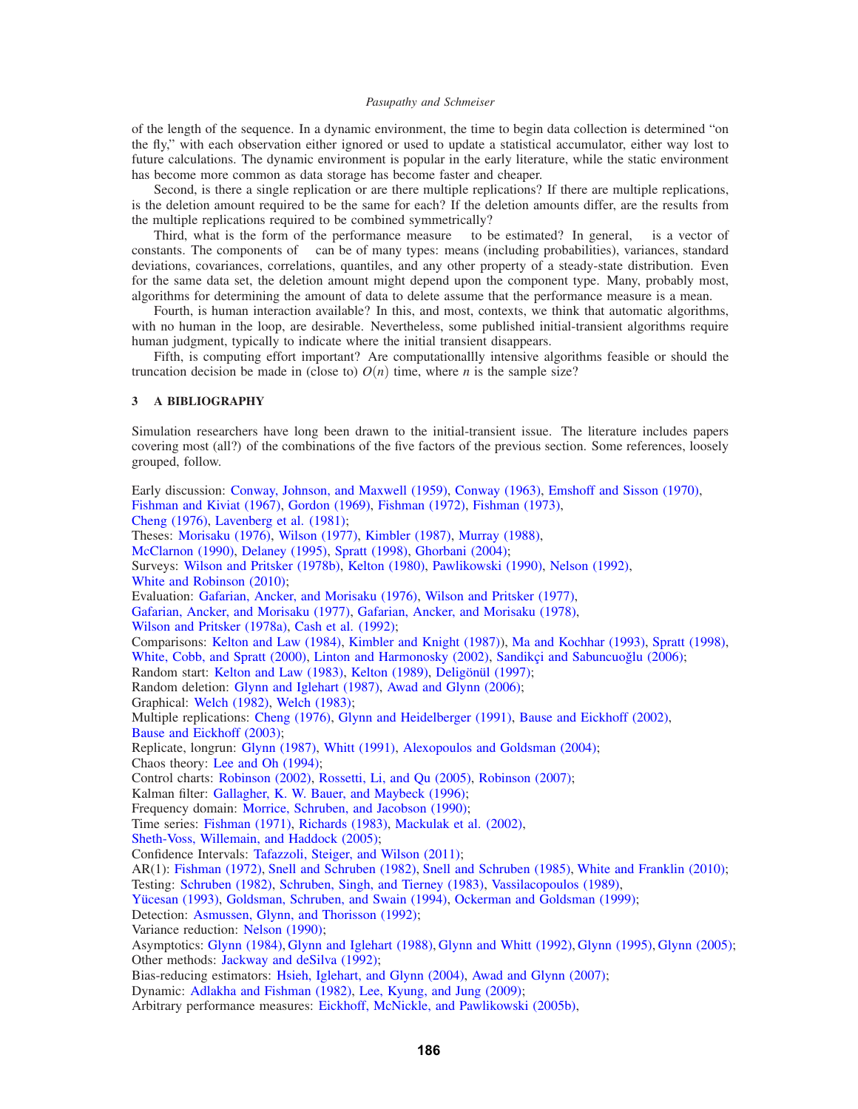of the length of the sequence. In a dynamic environment, the time to begin data collection is determined "on the fly," with each observation either ignored or used to update a statistical accumulator, either way lost to future calculations. The dynamic environment is popular in the early literature, while the static environment has become more common as data storage has become faster and cheaper.

Second, is there a single replication or are there multiple replications? If there are multiple replications, is the deletion amount required to be the same for each? If the deletion amounts differ, are the results from the multiple replications required to be combined symmetrically?

Third, what is the form of the performance measure  $\theta$  to be estimated? In general,  $\theta$  is a vector of constants. The components of  $\theta$  can be of many types: means (including probabilities), variances, standard deviations, covariances, correlations, quantiles, and any other property of a steady-state distribution. Even for the same data set, the deletion amount might depend upon the component type. Many, probably most, algorithms for determining the amount of data to delete assume that the performance measure is a mean.

Fourth, is human interaction available? In this, and most, contexts, we think that automatic algorithms, with no human in the loop, are desirable. Nevertheless, some published initial-transient algorithms require human judgment, typically to indicate where the initial transient disappears.

Fifth, is computing effort important? Are computationallly intensive algorithms feasible or should the truncation decision be made in (close to)  $O(n)$  time, where *n* is the sample size?

# **3 A BIBLIOGRAPHY**

Simulation researchers have long been drawn to the initial-transient issue. The literature includes papers covering most (all?) of the combinations of the five factors of the previous section. Some references, loosely grouped, follow.

Early discussion: Conway, Johnson, and Maxwell (1959), Conway (1963), Emshoff and Sisson (1970), Fishman and Kiviat (1967), Gordon (1969), Fishman (1972), Fishman (1973), Cheng (1976), Lavenberg et al. (1981); Theses: Morisaku (1976), Wilson (1977), Kimbler (1987), Murray (1988), McClarnon (1990), Delaney (1995), Spratt (1998), Ghorbani (2004); Surveys: Wilson and Pritsker (1978b), Kelton (1980), Pawlikowski (1990), Nelson (1992), White and Robinson (2010); Evaluation: Gafarian, Ancker, and Morisaku (1976), Wilson and Pritsker (1977), Gafarian, Ancker, and Morisaku (1977), Gafarian, Ancker, and Morisaku (1978), Wilson and Pritsker (1978a), Cash et al. (1992); Comparisons: Kelton and Law (1984), Kimbler and Knight (1987)), Ma and Kochhar (1993), Spratt (1998), White, Cobb, and Spratt (2000), Linton and Harmonosky (2002), Sandikci and Sabuncuoğlu (2006); Random start: Kelton and Law (1983), Kelton (1989), Deligönül (1997); Random deletion: Glynn and Iglehart (1987), Awad and Glynn (2006); Graphical: Welch (1982), Welch (1983); Multiple replications: Cheng (1976), Glynn and Heidelberger (1991), Bause and Eickhoff (2002), Bause and Eickhoff (2003); Replicate, longrun: Glynn (1987), Whitt (1991), Alexopoulos and Goldsman (2004); Chaos theory: Lee and Oh (1994); Control charts: Robinson (2002), Rossetti, Li, and Qu (2005), Robinson (2007); Kalman filter: Gallagher, K. W. Bauer, and Maybeck (1996); Frequency domain: Morrice, Schruben, and Jacobson (1990); Time series: Fishman (1971), Richards (1983), Mackulak et al. (2002), Sheth-Voss, Willemain, and Haddock (2005); Confidence Intervals: Tafazzoli, Steiger, and Wilson (2011); AR(1): Fishman (1972), Snell and Schruben (1982), Snell and Schruben (1985), White and Franklin (2010); Testing: Schruben (1982), Schruben, Singh, and Tierney (1983), Vassilacopoulos (1989), Yücesan (1993), Goldsman, Schruben, and Swain (1994), Ockerman and Goldsman (1999); Detection: Asmussen, Glynn, and Thorisson (1992); Variance reduction: Nelson (1990); Asymptotics: Glynn (1984), Glynn and Iglehart (1988), Glynn and Whitt (1992), Glynn (1995), Glynn (2005); Other methods: Jackway and deSilva (1992); Bias-reducing estimators: Hsieh, Iglehart, and Glynn (2004), Awad and Glynn (2007); Dynamic: Adlakha and Fishman (1982), Lee, Kyung, and Jung (2009);

Arbitrary performance measures: Eickhoff, McNickle, and Pawlikowski (2005b),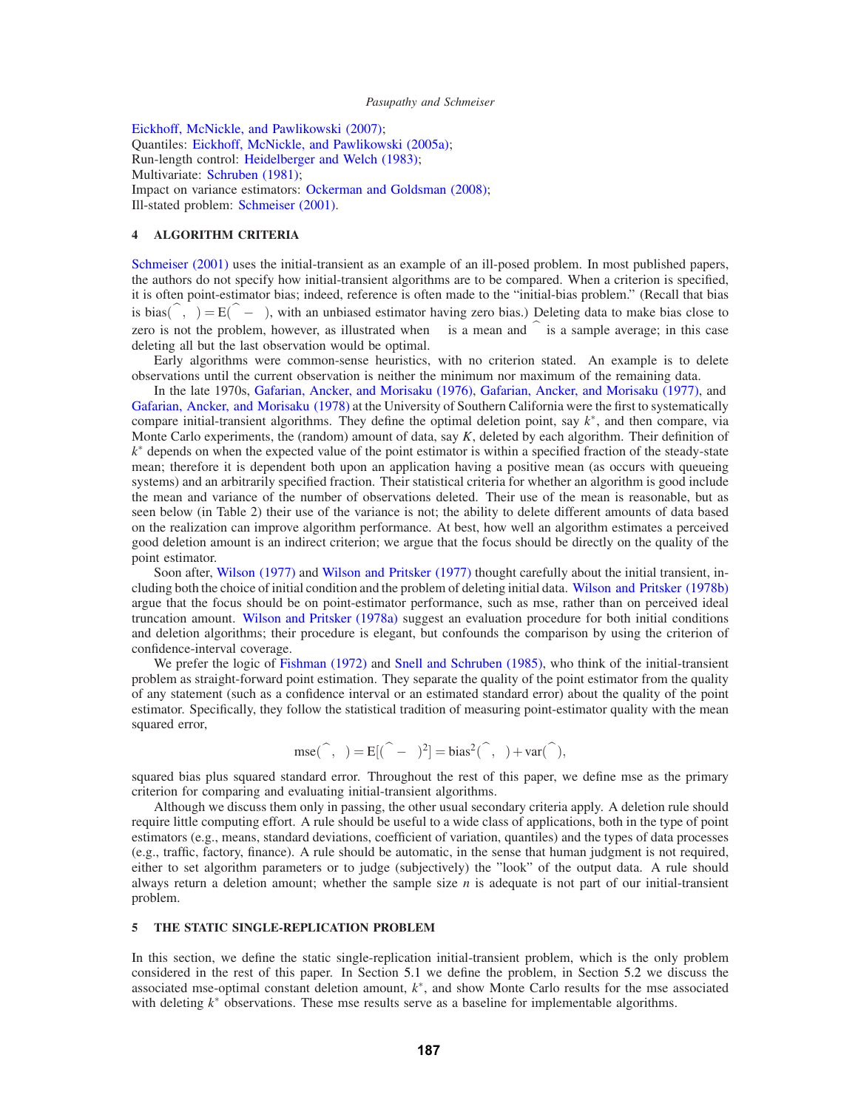Eickhoff, McNickle, and Pawlikowski (2007); Quantiles: Eickhoff, McNickle, and Pawlikowski (2005a); Run-length control: Heidelberger and Welch (1983); Multivariate: Schruben (1981); Impact on variance estimators: Ockerman and Goldsman (2008); Ill-stated problem: Schmeiser (2001).

# **4 ALGORITHM CRITERIA**

Schmeiser (2001) uses the initial-transient as an example of an ill-posed problem. In most published papers, the authors do not specify how initial-transient algorithms are to be compared. When a criterion is specified, it is often point-estimator bias; indeed, reference is often made to the "initial-bias problem." (Recall that bias is bias( $\widehat{\Theta}, \theta$ ) = E( $\widehat{\Theta} - \theta$ ), with an unbiased estimator having zero bias.) Deleting data to make bias close to zero is not the problem, however, as illustrated when  $\theta$  is a mean and  $\hat{\Theta}$  is a sample average; in this case deleting all but the last observation would be optimal.

Early algorithms were common-sense heuristics, with no criterion stated. An example is to delete observations until the current observation is neither the minimum nor maximum of the remaining data.

In the late 1970s, Gafarian, Ancker, and Morisaku (1976), Gafarian, Ancker, and Morisaku (1977), and Gafarian, Ancker, and Morisaku (1978) at the University of Southern California were the first to systematically compare initial-transient algorithms. They define the optimal deletion point, say *k*∗, and then compare, via Monte Carlo experiments, the (random) amount of data, say *K*, deleted by each algorithm. Their definition of *k*<sup>∗</sup> depends on when the expected value of the point estimator is within a specified fraction of the steady-state mean; therefore it is dependent both upon an application having a positive mean (as occurs with queueing systems) and an arbitrarily specified fraction. Their statistical criteria for whether an algorithm is good include the mean and variance of the number of observations deleted. Their use of the mean is reasonable, but as seen below (in Table 2) their use of the variance is not; the ability to delete different amounts of data based on the realization can improve algorithm performance. At best, how well an algorithm estimates a perceived good deletion amount is an indirect criterion; we argue that the focus should be directly on the quality of the point estimator.

Soon after, Wilson (1977) and Wilson and Pritsker (1977) thought carefully about the initial transient, including both the choice of initial condition and the problem of deleting initial data. Wilson and Pritsker (1978b) argue that the focus should be on point-estimator performance, such as mse, rather than on perceived ideal truncation amount. Wilson and Pritsker (1978a) suggest an evaluation procedure for both initial conditions and deletion algorithms; their procedure is elegant, but confounds the comparison by using the criterion of confidence-interval coverage.

We prefer the logic of Fishman (1972) and Snell and Schruben (1985), who think of the initial-transient problem as straight-forward point estimation. They separate the quality of the point estimator from the quality of any statement (such as a confidence interval or an estimated standard error) about the quality of the point estimator. Specifically, they follow the statistical tradition of measuring point-estimator quality with the mean squared error,

$$
mse(\widehat{\Theta}, \theta) = E[(\widehat{\Theta} - \theta)^2] = bias^2(\widehat{\Theta}, \theta) + var(\widehat{\Theta}),
$$

squared bias plus squared standard error. Throughout the rest of this paper, we define mse as the primary criterion for comparing and evaluating initial-transient algorithms.

Although we discuss them only in passing, the other usual secondary criteria apply. A deletion rule should require little computing effort. A rule should be useful to a wide class of applications, both in the type of point estimators (e.g., means, standard deviations, coefficient of variation, quantiles) and the types of data processes (e.g., traffic, factory, finance). A rule should be automatic, in the sense that human judgment is not required, either to set algorithm parameters or to judge (subjectively) the "look" of the output data. A rule should always return a deletion amount; whether the sample size *n* is adequate is not part of our initial-transient problem.

### **5 THE STATIC SINGLE-REPLICATION PROBLEM**

In this section, we define the static single-replication initial-transient problem, which is the only problem considered in the rest of this paper. In Section 5.1 we define the problem, in Section 5.2 we discuss the associated mse-optimal constant deletion amount, *k*∗, and show Monte Carlo results for the mse associated with deleting *k*<sup>∗</sup> observations. These mse results serve as a baseline for implementable algorithms.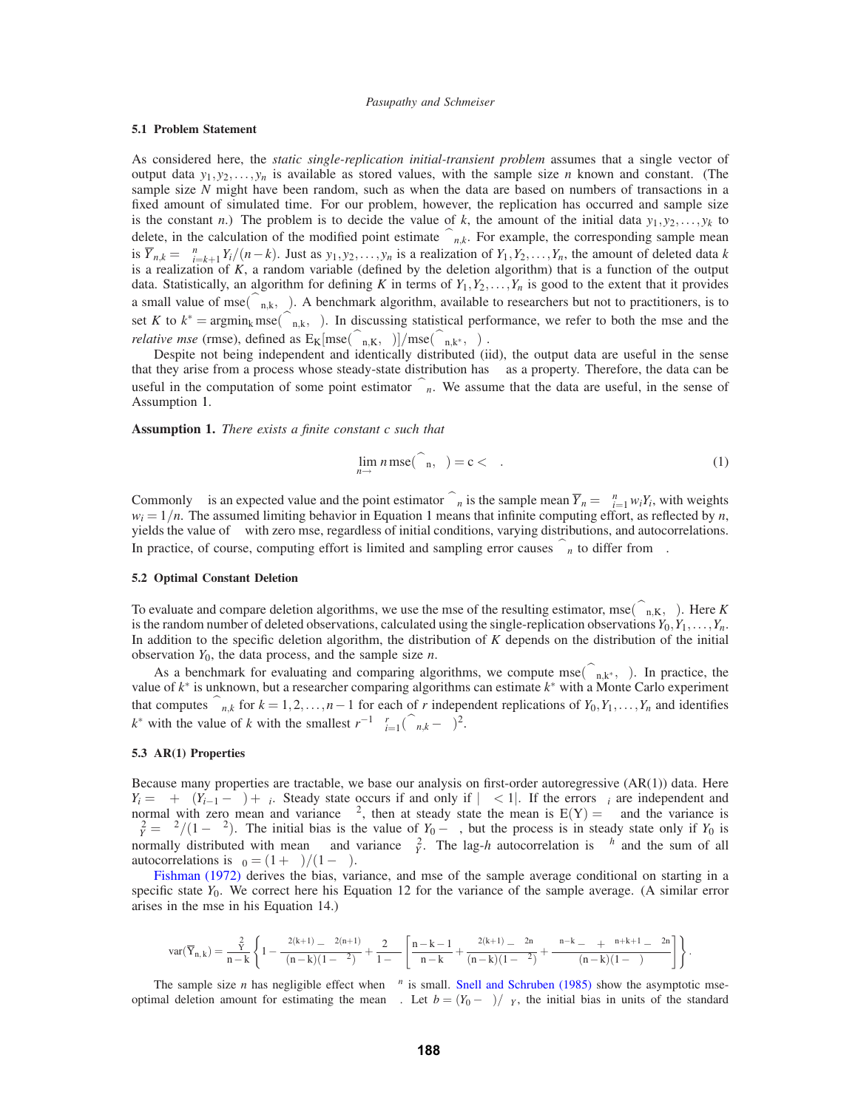# **5.1 Problem Statement**

As considered here, the *static single-replication initial-transient problem* assumes that a single vector of output data  $y_1, y_2, \ldots, y_n$  is available as stored values, with the sample size *n* known and constant. (The sample size *N* might have been random, such as when the data are based on numbers of transactions in a fixed amount of simulated time. For our problem, however, the replication has occurred and sample size is the constant *n*.) The problem is to decide the value of *k*, the amount of the initial data  $y_1, y_2, \ldots, y_k$  to delete, in the calculation of the modified point estimate  $\hat{\Theta}_{n,k}$ . For example, the corresponding sample mean is  $\overline{Y}_{n,k} = \sum_{i=k+1}^{n} Y_i/(n-k)$ . Just as  $y_1, y_2, \ldots, y_n$  is a realization of  $Y_1, Y_2, \ldots, Y_n$ , the amount of deleted data *k* is a realization of *K*, a random variable (defined by the deletion algorithm) that is a function of the output data. Statistically, an algorithm for defining *K* in terms of  $Y_1, Y_2, \ldots, Y_n$  is good to the extent that it provides a small value of mse( $\Theta_{n,k},\theta$ ). A benchmark algorithm, available to researchers but not to practitioners, is to set *K* to  $k^* = \text{argmin}_k \text{mse}(\widehat{\Theta}_{nk}, \theta)$ . In discussing statistical performance, we refer to both the mse and the *relative mse* (rmse), defined as  $E_K[mse(\Theta_{n,K}, \theta)]/mse(\Theta_{n,k^*}, \theta)$ .

Despite not being independent and identically distributed (iid), the output data are useful in the sense that they arise from a process whose steady-state distribution has  $\theta$  as a property. Therefore, the data can be useful in the computation of some point estimator  $\Theta_n$ . We assume that the data are useful, in the sense of Assumption 1.

**Assumption 1.** *There exists a finite constant c such that*

$$
\lim_{n \to \infty} n \operatorname{mse}(\widehat{\Theta}_n, \theta) = c < \infty. \tag{1}
$$

Commonly  $\theta$  is an expected value and the point estimator  $\hat{\Theta}_n$  is the sample mean  $\overline{Y}_n = \sum_{i=1}^n w_i Y_i$ , with weights  $w_i = 1/n$ . The assumed limiting behavior in Equation 1 means that infinite computing effort, as reflected by *n*, yields the value of  $\theta$  with zero mse, regardless of initial conditions, varying distributions, and autocorrelations. In practice, of course, computing effort is limited and sampling error causes  $\widehat{\Theta}_n$  to differ from  $\theta$ .

## **5.2 Optimal Constant Deletion**

To evaluate and compare deletion algorithms, we use the mse of the resulting estimator, mse( $\Theta_{n,K}, \theta$ ). Here *K* is the random number of deleted observations, calculated using the single-replication observations  $Y_0, Y_1, \ldots, Y_n$ . In addition to the specific deletion algorithm, the distribution of *K* depends on the distribution of the initial observation *Y*0, the data process, and the sample size *n*.

As a benchmark for evaluating and comparing algorithms, we compute mse( $\Theta_{n,k^*}, \theta$ ). In practice, the value of *k*<sup>∗</sup> is unknown, but a researcher comparing algorithms can estimate *k*<sup>∗</sup> with a Monte Carlo experiment that computes  $\Theta_{n,k}$  for  $k = 1, 2, ..., n-1$  for each of *r* independent replications of  $Y_0, Y_1, ..., Y_n$  and identifies *k*<sup>∗</sup> with the value of *k* with the smallest  $r^{-1} \sum_{i=1}^{r} (\widehat{\Theta}_{n,k} - \theta)^2$ .

### **5.3 AR(1) Properties**

Because many properties are tractable, we base our analysis on first-order autoregressive  $(AR(1))$  data. Here  $Y_i = \theta + \alpha (Y_{i-1} - \theta) + \varepsilon_i$ . Steady state occurs if and only if  $|\alpha| < 1$ . If the errors  $\varepsilon_i$  are independent and normal with zero mean and variance  $\sigma^2$ , then at steady state the mean is  $E(Y) = \theta$  and the variance is  $\sigma_Y^2 = \frac{\sigma^2}{1 - \alpha^2}$ . The initial bias is the value of *Y*<sub>0</sub> −  $\theta$ , but the process is in steady state only if *Y*<sub>0</sub> is normally distributed with mean  $\theta$  and variance  $\sigma_Y^2$ . The lag-*h* autocorrelation is  $\alpha^h$  and the sum of all autocorrelations is  $\gamma_0 = (1+\alpha)/(1-\alpha)$ .

Fishman (1972) derives the bias, variance, and mse of the sample average conditional on starting in a specific state *Y*0. We correct here his Equation 12 for the variance of the sample average. (A similar error arises in the mse in his Equation 14.)

$$
var(\overline{Y}_{n,k}) = \frac{\sigma_Y^2}{n-k}\left\{1-\frac{\alpha^{2(k+1)}-\alpha^{2(n+1)}}{(n-k)(1-\alpha^2)}+\frac{2\alpha}{1-\alpha}\left[\frac{n-k-1}{n-k}+\frac{\alpha^{2(k+1)}-\alpha^{2n}}{(n-k)(1-\alpha^2)}+\frac{\alpha^{n-k}-\alpha+\alpha^{n+k+1}-\alpha^{2n}}{(n-k)(1-\alpha)}\right]\right\}.
$$

The sample size *n* has negligible effect when  $\alpha^n$  is small. Snell and Schruben (1985) show the asymptotic mseoptimal deletion amount for estimating the mean  $\theta$ . Let  $b = (Y_0 - \theta)/\sigma_Y$ , the initial bias in units of the standard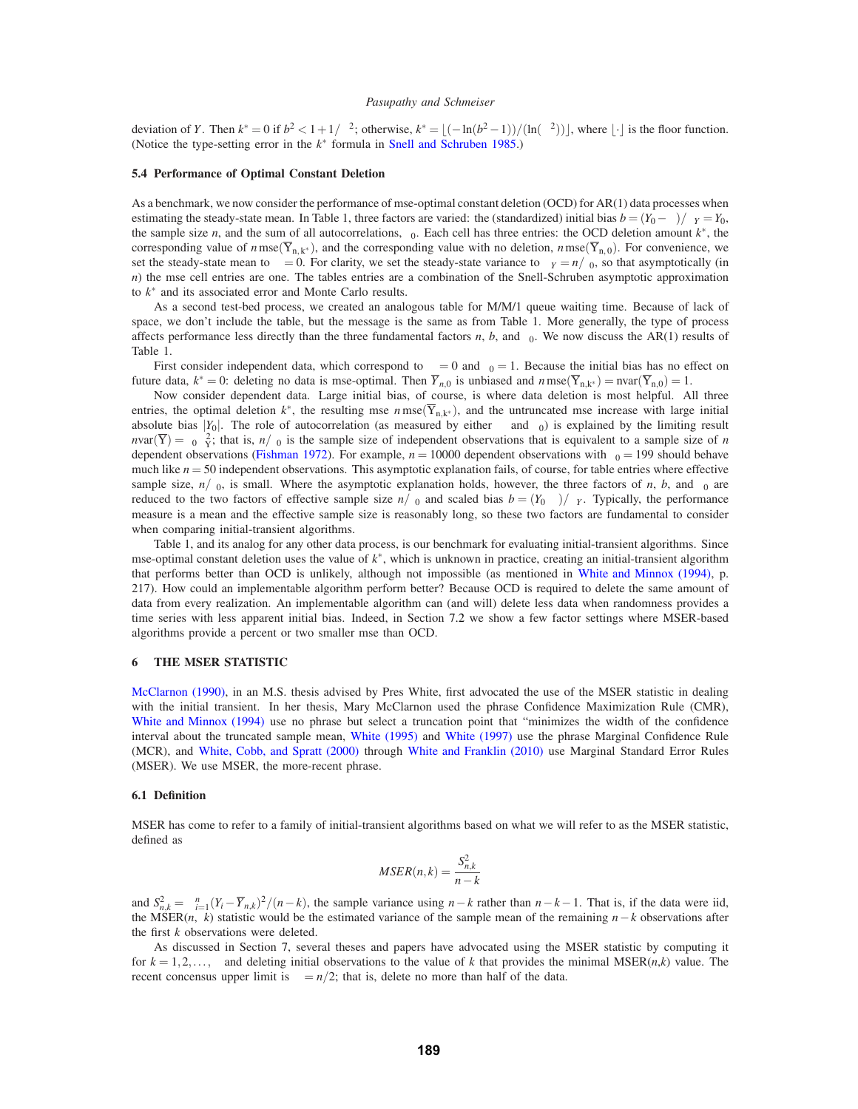deviation of *Y*. Then  $k^* = 0$  if  $b^2 < 1+1/\alpha^2$ ; otherwise,  $k^* = \frac{\frac{1}{\alpha^2 - 1}}{\frac{1}{\alpha^2 - 1}}$  (ln( $\alpha^2$ )), where  $\frac{1}{\alpha}$  is the floor function. (Notice the type-setting error in the *k*<sup>∗</sup> formula in Snell and Schruben 1985.)

### **5.4 Performance of Optimal Constant Deletion**

As a benchmark, we now consider the performance of mse-optimal constant deletion (OCD) for AR(1) data processes when estimating the steady-state mean. In Table 1, three factors are varied: the (standardized) initial bias  $b = (Y_0 - \theta)/\sigma_Y = Y_0$ , the sample size *n*, and the sum of all autocorrelations, γ<sub>0</sub>. Each cell has three entries: the OCD deletion amount  $k^*$ , the corresponding value of  $n \text{mse}(\overline{Y}_{n,k^*})$ , and the corresponding value with no deletion,  $n \text{mse}(\overline{Y}_{n,0})$ . For convenience, we set the steady-state mean to  $\theta = 0$ . For clarity, we set the steady-state variance to  $\sigma_Y = n/\gamma_0$ , so that asymptotically (in *n*) the mse cell entries are one. The tables entries are a combination of the Snell-Schruben asymptotic approximation to *k*<sup>∗</sup> and its associated error and Monte Carlo results.

As a second test-bed process, we created an analogous table for M/M/1 queue waiting time. Because of lack of space, we don't include the table, but the message is the same as from Table 1. More generally, the type of process affects performance less directly than the three fundamental factors  $n$ ,  $b$ , and  $\gamma_0$ . We now discuss the AR(1) results of Table 1.

First consider independent data, which correspond to  $\alpha = 0$  and  $\gamma_0 = 1$ . Because the initial bias has no effect on future data,  $k^* = 0$ : deleting no data is mse-optimal. Then  $\overline{Y}_{n,0}$  is unbiased and  $n \operatorname{mse}(\overline{Y}_{n,k^*}) = \operatorname{nvar}(\overline{Y}_{n,0}) = 1$ .

Now consider dependent data. Large initial bias, of course, is where data deletion is most helpful. All three entries, the optimal deletion  $k^*$ , the resulting mse  $n \text{ mse}(\overline{Y}_{n,k^*})$ , and the untruncated mse increase with large initial absolute bias |*Y*<sub>0</sub>|. The role of autocorrelation (as measured by either  $\alpha$  and  $\gamma_0$ ) is explained by the limiting result  $n\text{var}(\overline{Y}) = \gamma_0 \sigma_Y^2$ ; that is,  $n/\gamma_0$  is the sample size of independent observations that is equivalent to a sample size of *n* dependent observations (Fishman 1972). For example,  $n = 10000$  dependent observations with  $\gamma_0 = 199$  should behave much like  $n = 50$  independent observations. This asymptotic explanation fails, of course, for table entries where effective sample size,  $n/\gamma_0$ , is small. Where the asymptotic explanation holds, however, the three factors of *n*, *b*, and  $\gamma_0$  are reduced to the two factors of effective sample size  $n/\gamma_0$  and scaled bias  $b = (Y_0 \theta)/\sigma_Y$ . Typically, the performance measure is a mean and the effective sample size is reasonably long, so these two factors are fundamental to consider when comparing initial-transient algorithms.

Table 1, and its analog for any other data process, is our benchmark for evaluating initial-transient algorithms. Since mse-optimal constant deletion uses the value of *k*∗, which is unknown in practice, creating an initial-transient algorithm that performs better than OCD is unlikely, although not impossible (as mentioned in White and Minnox (1994), p. 217). How could an implementable algorithm perform better? Because OCD is required to delete the same amount of data from every realization. An implementable algorithm can (and will) delete less data when randomness provides a time series with less apparent initial bias. Indeed, in Section 7.2 we show a few factor settings where MSER-based algorithms provide a percent or two smaller mse than OCD.

## **6 THE MSER STATISTIC**

McClarnon (1990), in an M.S. thesis advised by Pres White, first advocated the use of the MSER statistic in dealing with the initial transient. In her thesis, Mary McClarnon used the phrase Confidence Maximization Rule (CMR), White and Minnox (1994) use no phrase but select a truncation point that "minimizes the width of the confidence interval about the truncated sample mean, White (1995) and White (1997) use the phrase Marginal Confidence Rule (MCR), and White, Cobb, and Spratt (2000) through White and Franklin (2010) use Marginal Standard Error Rules (MSER). We use MSER, the more-recent phrase.

### **6.1 Definition**

MSER has come to refer to a family of initial-transient algorithms based on what we will refer to as the MSER statistic, defined as

$$
MSER(n,k) = \frac{S_{n,k}^2}{n-k}
$$

and  $S_{n,k}^2 = \sum_{i=1}^n (Y_i - \overline{Y}_{n,k})^2 / (n-k)$ , the sample variance using  $n-k$  rather than  $n-k-1$ . That is, if the data were iid, the MSER(*n*, *k*) statistic would be the estimated variance of the sample mean of the remaining *n*−*k* observations after the first *k* observations were deleted.

As discussed in Section 7, several theses and papers have advocated using the MSER statistic by computing it for  $k = 1, 2, \ldots, \kappa$  and deleting initial observations to the value of *k* that provides the minimal MSER(*n*,*k*) value. The recent concensus upper limit is  $\kappa = n/2$ ; that is, delete no more than half of the data.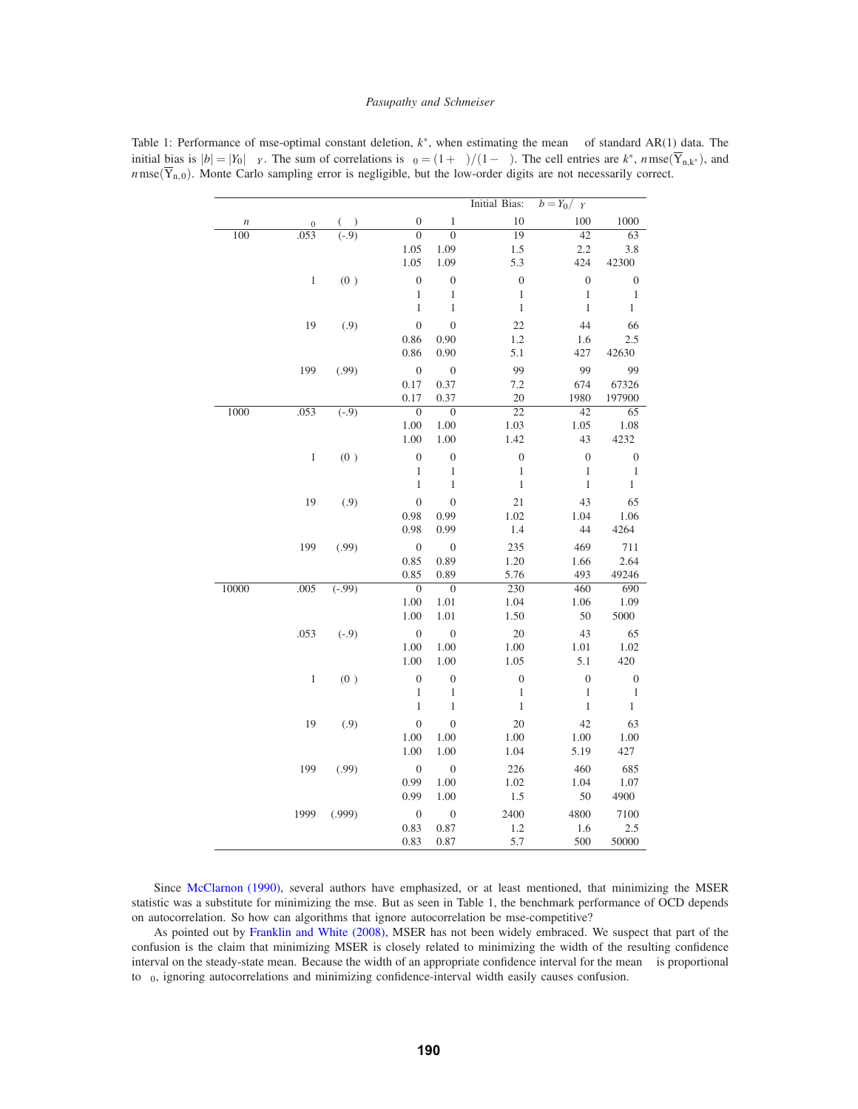|                  |              |             |                  |                  | Initial Bias:    | $\overline{b} = Y_0 / \sigma_Y$ |                  |
|------------------|--------------|-------------|------------------|------------------|------------------|---------------------------------|------------------|
| $\boldsymbol{n}$ | $\gamma_0$   | $(\alpha$ ) | $\overline{0}$   | $\mathbf{1}$     | 10               | 100                             | 1000             |
| $\overline{100}$ | .053         | $(-.9)$     | $\overline{0}$   | $\overline{0}$   | 19               | 42                              | 63               |
|                  |              |             | 1.05             | 1.09             | 1.5              | 2.2                             | 3.8              |
|                  |              |             | 1.05             | 1.09             | 5.3              | 424                             | 42300            |
|                  | $\,1$        | (0)         | $\overline{0}$   | $\boldsymbol{0}$ | $\overline{0}$   | $\overline{0}$                  | $\boldsymbol{0}$ |
|                  |              |             | $\mathbf{1}$     | $\,1$            | $\,1\,$          | $\,1\,$                         | $\mathbf{1}$     |
|                  |              |             | $\,1$            | $\,1$            | $\,1\,$          | $\,1\,$                         | $\mathbf{1}$     |
|                  | 19           | (.9)        | $\overline{0}$   | $\overline{0}$   | 22               | 44                              | 66               |
|                  |              |             | 0.86             | 0.90             | 1.2              | 1.6                             | 2.5              |
|                  |              |             | 0.86             | $0.90\,$         | 5.1              | 427                             | 42630            |
|                  | 199          | (.99)       | $\mathbf 0$      | $\boldsymbol{0}$ | 99               | 99                              | 99               |
|                  |              |             | 0.17             | 0.37             | 7.2              | 674                             | 67326            |
|                  |              |             | 0.17             | 0.37             | 20               | 1980                            | 197900           |
| 1000             | .053         | $(-.9)$     | $\overline{0}$   | $\overline{0}$   | 22               | 42                              | 65               |
|                  |              |             | 1.00             | 1.00             | 1.03             | 1.05                            | 1.08             |
|                  |              |             | 1.00             | $1.00\,$         | 1.42             | 43                              | 4232             |
|                  | $\mathbf{1}$ | (0)         | $\boldsymbol{0}$ | $\boldsymbol{0}$ | $\overline{0}$   | $\boldsymbol{0}$                | $\boldsymbol{0}$ |
|                  |              |             | $\,1$            | $\,1\,$          | $\,1\,$          | $\,1\,$                         | $\mathbf{1}$     |
|                  |              |             | $\,1$            | $\,1\,$          | $\,1\,$          | $\,1\,$                         | $\mathbf{1}$     |
|                  | 19           | (.9)        | $\overline{0}$   | $\overline{0}$   | 21               | 43                              | 65               |
|                  |              |             | 0.98             | 0.99             | 1.02             | 1.04                            | 1.06             |
|                  |              |             | 0.98             | 0.99             | 1.4              | 44                              | 4264             |
|                  | 199          | (.99)       | $\boldsymbol{0}$ | $\boldsymbol{0}$ | 235              | 469                             | 711              |
|                  |              |             | 0.85             | 0.89             | 1.20             | 1.66                            | 2.64             |
|                  |              |             | 0.85             | 0.89             | 5.76             | 493                             | 49246            |
| 10000            | .005         | $(-.99)$    | $\overline{0}$   | $\overline{0}$   | $\overline{230}$ | 460                             | 690              |
|                  |              |             | 1.00             | 1.01             | 1.04             | 1.06                            | 1.09             |
|                  |              |             | 1.00             | 1.01             | 1.50             | 50                              | 5000             |
|                  | .053         | $(-.9)$     | $\mathbf{0}$     | $\boldsymbol{0}$ | 20               | 43                              | 65               |
|                  |              |             | 1.00             | 1.00             | 1.00             | 1.01                            | 1.02             |
|                  |              |             | 1.00             | 1.00             | 1.05             | 5.1                             | 420              |
|                  | $\,1\,$      | (0)         | $\boldsymbol{0}$ | $\boldsymbol{0}$ | $\boldsymbol{0}$ | $\overline{0}$                  | $\boldsymbol{0}$ |
|                  |              |             | $\mathbf{1}$     | $\,1\,$          | $\mathbf{1}$     | $\,1\,$                         | $\mathbf{1}$     |
|                  |              |             | $\,1$            | $\,1\,$          | $\,1\,$          | $\,1\,$                         | $\mathbf{1}$     |
|                  | 19           | (.9)        | $\overline{0}$   | $\boldsymbol{0}$ | 20               | 42                              | 63               |
|                  |              |             | 1.00             | 1.00             | 1.00             | 1.00                            | 1.00             |
|                  |              |             | 1.00             | 1.00             | 1.04             | 5.19                            | 427              |
|                  | 199          | (.99)       | $\mathbf{0}$     | $\boldsymbol{0}$ | 226              | 460                             | 685              |
|                  |              |             | 0.99             | 1.00             | 1.02             | 1.04                            | 1.07             |
|                  |              |             | 0.99             | 1.00             | 1.5              | 50                              | 4900             |
|                  | 1999         | (.999)      | $\mathbf 0$      | $\boldsymbol{0}$ | 2400             | 4800                            | 7100             |
|                  |              |             | 0.83             | 0.87             | 1.2              | 1.6                             | 2.5              |
|                  |              |             | 0.83             | 0.87             | 5.7              | 500                             | 50000            |

Table 1: Performance of mse-optimal constant deletion, *k*∗, when estimating the mean <sup>θ</sup> of standard AR(1) data. The initial bias is  $|b| = |Y_0| \sigma_Y$ . The sum of correlations is  $\gamma_0 = (1+\alpha)/(1-\alpha)$ . The cell entries are  $k^*$ ,  $n \text{ mes}(\overline{Y}_{n,k^*})$ , and  $n$ mse( $\overline{Y}_{n,0}$ ). Monte Carlo sampling error is negligible, but the low-order digits are not necessarily correct.

Since McClarnon (1990), several authors have emphasized, or at least mentioned, that minimizing the MSER statistic was a substitute for minimizing the mse. But as seen in Table 1, the benchmark performance of OCD depends on autocorrelation. So how can algorithms that ignore autocorrelation be mse-competitive?

As pointed out by Franklin and White (2008), MSER has not been widely embraced. We suspect that part of the confusion is the claim that minimizing MSER is closely related to minimizing the width of the resulting confidence interval on the steady-state mean. Because the width of an appropriate confidence interval for the mean  $\theta$  is proportional to  $\gamma_0$ , ignoring autocorrelations and minimizing confidence-interval width easily causes confusion.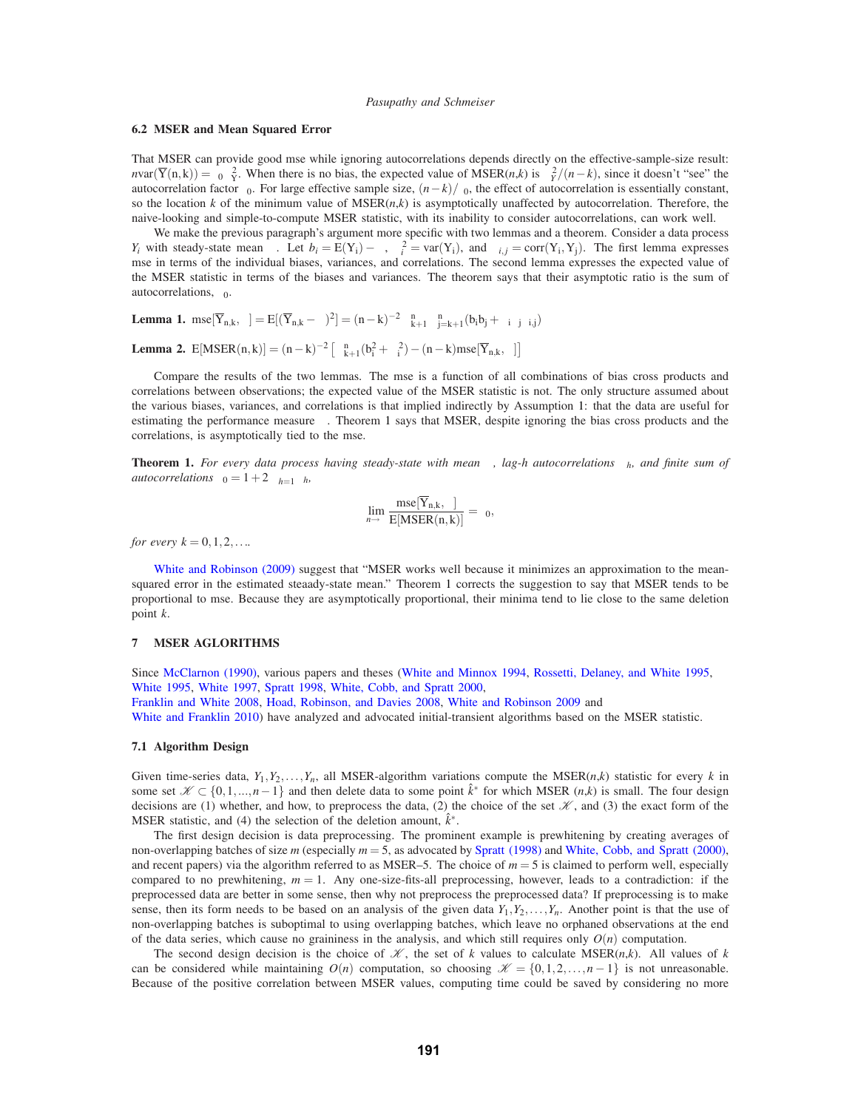## **6.2 MSER and Mean Squared Error**

That MSER can provide good mse while ignoring autocorrelations depends directly on the effective-sample-size result:  $n\text{var}(\overline{Y}(n,k)) = \gamma_0 \sigma_Y^2$ . When there is no bias, the expected value of MSER(*n*,*k*) is  $\sigma_Y^2/(n-k)$ , since it doesn't "see" the autocorrelation factor  $\gamma_0$ . For large effective sample size,  $(n-k)/\gamma_0$ , the effect of autocorrelation is essentially constant, so the location *k* of the minimum value of MSER $(n, k)$  is asymptotically unaffected by autocorrelation. Therefore, the naive-looking and simple-to-compute MSER statistic, with its inability to consider autocorrelations, can work well.

We make the previous paragraph's argument more specific with two lemmas and a theorem. Consider a data process *Y<sub>i</sub>* with steady-state mean  $\theta$ . Let  $b_i = E(Y_i) - \theta$ ,  $\sigma_i^2 = \text{var}(Y_i)$ , and  $\rho_{i,j} = \text{corr}(Y_i, Y_j)$ . The first lemma expresses mse in terms of the individual biases, variances, and correlations. The second lemma expresses the expected value of the MSER statistic in terms of the biases and variances. The theorem says that their asymptotic ratio is the sum of autocorrelations, γ<sub>0</sub>.

$$
\text{Lemma 1. } \text{mse}[\overline{Y}_{n,k},\theta]=E[(\overline{Y}_{n,k}-\theta)^2]=(n-k)^{-2}\textstyle\sum_{k+1}^{n}\textstyle\sum_{j=k+1}^{n}(b_ib_j+\sigma_i\sigma_j\rho_{i,j})
$$

**Lemma 2.**  $E[MSER(n,k)] = (n-k)^{-2} \left[ \sum_{k=1}^{n} (b_i^2 + \sigma_i^2) - (n-k) \text{mse}[\overline{Y}_{n,k}, \theta] \right]$ 

Compare the results of the two lemmas. The mse is a function of all combinations of bias cross products and correlations between observations; the expected value of the MSER statistic is not. The only structure assumed about the various biases, variances, and correlations is that implied indirectly by Assumption 1: that the data are useful for estimating the performance measure  $\theta$ . Theorem 1 says that MSER, despite ignoring the bias cross products and the correlations, is asymptotically tied to the mse.

**Theorem 1.** *For every data process having steady-state with mean* <sup>θ</sup>*, lag-h autocorrelations* <sup>ρ</sup>*h, and finite sum of*  $\alpha$ *utocorrelations*  $\gamma_0 = 1 + 2 \sum_{h=1}^{\infty} \rho_h$ ,

$$
\lim_{n\to\infty}\frac{mse[\overline{Y}_{n,k},\theta]}{E[MSER(n,k)]}=\gamma_0,
$$

*for every*  $k = 0, 1, 2, ...$ 

White and Robinson (2009) suggest that "MSER works well because it minimizes an approximation to the meansquared error in the estimated steaady-state mean." Theorem 1 corrects the suggestion to say that MSER tends to be proportional to mse. Because they are asymptotically proportional, their minima tend to lie close to the same deletion point *k*.

### **7 MSER AGLORITHMS**

Since McClarnon (1990), various papers and theses (White and Minnox 1994, Rossetti, Delaney, and White 1995, White 1995, White 1997, Spratt 1998, White, Cobb, and Spratt 2000,

Franklin and White 2008, Hoad, Robinson, and Davies 2008, White and Robinson 2009 and

White and Franklin 2010) have analyzed and advocated initial-transient algorithms based on the MSER statistic.

## **7.1 Algorithm Design**

Given time-series data,  $Y_1, Y_2, \ldots, Y_n$ , all MSER-algorithm variations compute the MSER(*n*,*k*) statistic for every *k* in some set  $\mathcal{K} \subset \{0,1,...,n-1\}$  and then delete data to some point  $\hat{k}^*$  for which MSER  $(n,k)$  is small. The four design decisions are (1) whether, and how, to preprocess the data, (2) the choice of the set  $\mathcal{K}$ , and (3) the exact form of the MSER statistic, and (4) the selection of the deletion amount,  $\hat{k}^*$ .

The first design decision is data preprocessing. The prominent example is prewhitening by creating averages of non-overlapping batches of size *m* (especially *m* = 5, as advocated by Spratt (1998) and White, Cobb, and Spratt (2000), and recent papers) via the algorithm referred to as MSER–5. The choice of  $m = 5$  is claimed to perform well, especially compared to no prewhitening,  $m = 1$ . Any one-size-fits-all preprocessing, however, leads to a contradiction: if the preprocessed data are better in some sense, then why not preprocess the preprocessed data? If preprocessing is to make sense, then its form needs to be based on an analysis of the given data  $Y_1, Y_2, \ldots, Y_n$ . Another point is that the use of non-overlapping batches is suboptimal to using overlapping batches, which leave no orphaned observations at the end of the data series, which cause no graininess in the analysis, and which still requires only  $O(n)$  computation.

The second design decision is the choice of  $K$ , the set of *k* values to calculate MSER(*n*,*k*). All values of *k* can be considered while maintaining  $O(n)$  computation, so choosing  $\mathcal{K} = \{0, 1, 2, ..., n - 1\}$  is not unreasonable. Because of the positive correlation between MSER values, computing time could be saved by considering no more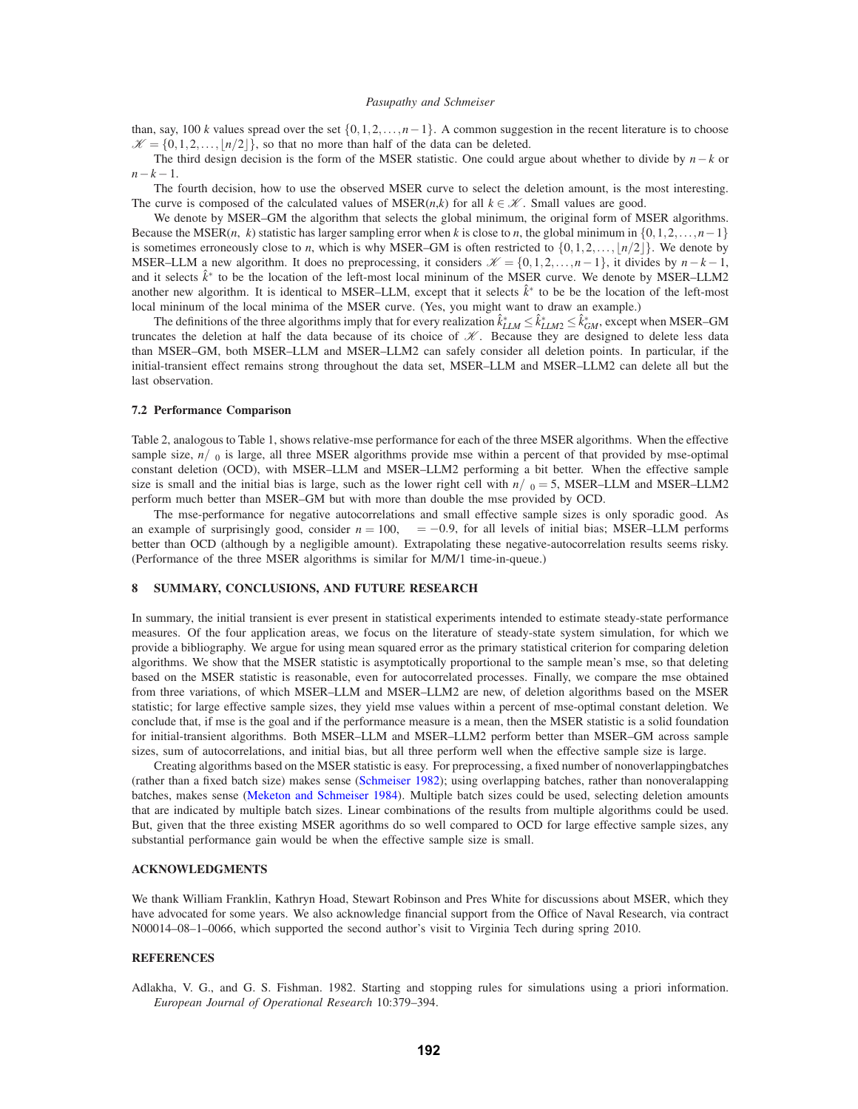than, say, 100 *k* values spread over the set  $\{0,1,2,\ldots,n-1\}$ . A common suggestion in the recent literature is to choose  $\mathcal{K} = \{0, 1, 2, \ldots, \lfloor n/2 \rfloor \}$ , so that no more than half of the data can be deleted.

The third design decision is the form of the MSER statistic. One could argue about whether to divide by *n*−*k* or  $n-k-1$ .

The fourth decision, how to use the observed MSER curve to select the deletion amount, is the most interesting. The curve is composed of the calculated values of  $MSER(n,k)$  for all  $k \in \mathcal{K}$ . Small values are good.

We denote by MSER–GM the algorithm that selects the global minimum, the original form of MSER algorithms. Because the MSER(*n*, *k*) statistic has larger sampling error when *k* is close to *n*, the global minimum in  $\{0,1,2,\ldots,n-1\}$ is sometimes erroneously close to *n*, which is why MSER–GM is often restricted to  $\{0,1,2,...,|n/2|\}$ . We denote by MSER–LLM a new algorithm. It does no preprocessing, it considers  $\mathcal{K} = \{0, 1, 2, ..., n-1\}$ , it divides by  $n-k-1$ , and it selects  $\hat{k}$ <sup>∗</sup> to be the location of the left-most local mininum of the MSER curve. We denote by MSER–LLM2 another new algorithm. It is identical to MSER–LLM, except that it selects  $\hat{k}^*$  to be be the location of the left-most local mininum of the local minima of the MSER curve. (Yes, you might want to draw an example.)

The definitions of the three algorithms imply that for every realization  $\hat{k}_{LLM}^* \leq \hat{k}_{LLM2}^* \leq \hat{k}_{GM}^*$ , except when MSER–GM truncates the deletion at half the data because of its choice of  $K$ . Because they are designed to delete less data than MSER–GM, both MSER–LLM and MSER–LLM2 can safely consider all deletion points. In particular, if the initial-transient effect remains strong throughout the data set, MSER–LLM and MSER–LLM2 can delete all but the last observation.

### **7.2 Performance Comparison**

Table 2, analogous to Table 1, shows relative-mse performance for each of the three MSER algorithms. When the effective sample size,  $n/\gamma_0$  is large, all three MSER algorithms provide mse within a percent of that provided by mse-optimal constant deletion (OCD), with MSER–LLM and MSER–LLM2 performing a bit better. When the effective sample size is small and the initial bias is large, such as the lower right cell with  $n/\gamma_0 = 5$ , MSER–LLM and MSER–LLM2 perform much better than MSER–GM but with more than double the mse provided by OCD.

The mse-performance for negative autocorrelations and small effective sample sizes is only sporadic good. As an example of surprisingly good, consider  $n = 100$ ,  $\alpha = -0.9$ , for all levels of initial bias; MSER–LLM performs better than OCD (although by a negligible amount). Extrapolating these negative-autocorrelation results seems risky. (Performance of the three MSER algorithms is similar for M/M/1 time-in-queue.)

### **8 SUMMARY, CONCLUSIONS, AND FUTURE RESEARCH**

In summary, the initial transient is ever present in statistical experiments intended to estimate steady-state performance measures. Of the four application areas, we focus on the literature of steady-state system simulation, for which we provide a bibliography. We argue for using mean squared error as the primary statistical criterion for comparing deletion algorithms. We show that the MSER statistic is asymptotically proportional to the sample mean's mse, so that deleting based on the MSER statistic is reasonable, even for autocorrelated processes. Finally, we compare the mse obtained from three variations, of which MSER–LLM and MSER–LLM2 are new, of deletion algorithms based on the MSER statistic; for large effective sample sizes, they yield mse values within a percent of mse-optimal constant deletion. We conclude that, if mse is the goal and if the performance measure is a mean, then the MSER statistic is a solid foundation for initial-transient algorithms. Both MSER–LLM and MSER–LLM2 perform better than MSER–GM across sample sizes, sum of autocorrelations, and initial bias, but all three perform well when the effective sample size is large.

Creating algorithms based on the MSER statistic is easy. For preprocessing, a fixed number of nonoverlappingbatches (rather than a fixed batch size) makes sense (Schmeiser 1982); using overlapping batches, rather than nonoveralapping batches, makes sense (Meketon and Schmeiser 1984). Multiple batch sizes could be used, selecting deletion amounts that are indicated by multiple batch sizes. Linear combinations of the results from multiple algorithms could be used. But, given that the three existing MSER agorithms do so well compared to OCD for large effective sample sizes, any substantial performance gain would be when the effective sample size is small.

## **ACKNOWLEDGMENTS**

We thank William Franklin, Kathryn Hoad, Stewart Robinson and Pres White for discussions about MSER, which they have advocated for some years. We also acknowledge financial support from the Office of Naval Research, via contract N00014–08–1–0066, which supported the second author's visit to Virginia Tech during spring 2010.

## **REFERENCES**

Adlakha, V. G., and G. S. Fishman. 1982. Starting and stopping rules for simulations using a priori information. *European Journal of Operational Research* 10:379–394.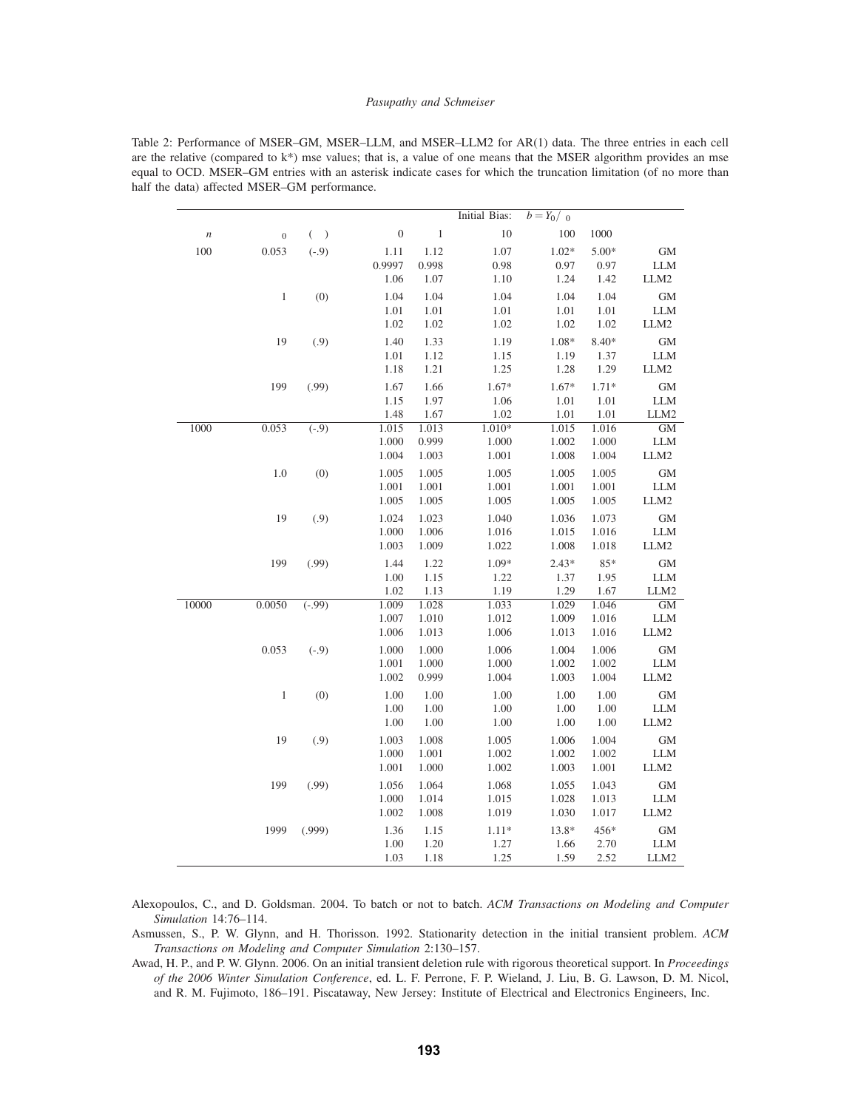|                  |            |             |                              |                             | <b>Initial Bias:</b>       | $b = Y_0/\gamma_0$      |                          |                                 |
|------------------|------------|-------------|------------------------------|-----------------------------|----------------------------|-------------------------|--------------------------|---------------------------------|
| $\boldsymbol{n}$ | $\gamma_0$ | $(\alpha$ ) | $\boldsymbol{0}$             | $\,1\,$                     | $10\,$                     | 100                     | 1000                     |                                 |
| 100              | 0.053      | $(-.9)$     | 1.11<br>0.9997<br>1.06       | 1.12<br>0.998<br>1.07       | 1.07<br>0.98<br>1.10       | $1.02*$<br>0.97<br>1.24 | $5.00*$<br>0.97<br>1.42  | <b>GM</b><br><b>LLM</b><br>LLM2 |
|                  | $\,1\,$    | (0)         | 1.04<br>1.01<br>1.02         | 1.04<br>1.01<br>1.02        | 1.04<br>1.01<br>1.02       | 1.04<br>1.01<br>1.02    | 1.04<br>1.01<br>1.02     | GM<br><b>LLM</b><br>LLM2        |
|                  | 19         | (.9)        | 1.40<br>$1.01\,$<br>1.18     | 1.33<br>1.12<br>1.21        | 1.19<br>1.15<br>1.25       | $1.08*$<br>1.19<br>1.28 | $8.40*$<br>1.37<br>1.29  | GM<br><b>LLM</b><br>LLM2        |
|                  | 199        | (.99)       | 1.67<br>1.15<br>1.48         | 1.66<br>1.97<br>1.67        | $1.67*$<br>1.06<br>1.02    | 1.67*<br>1.01<br>1.01   | $1.71*$<br>1.01<br>1.01  | <b>GM</b><br><b>LLM</b><br>LLM2 |
| 1000             | 0.053      | $(-.9)$     | 1.015<br>1.000<br>1.004      | 1.013<br>0.999<br>1.003     | $1.010*$<br>1.000<br>1.001 | 1.015<br>1.002<br>1.008 | 1.016<br>1.000<br>1.004  | GM<br><b>LLM</b><br>LLM2        |
|                  | $1.0\,$    | (0)         | 1.005<br>1.001<br>1.005      | 1.005<br>1.001<br>1.005     | 1.005<br>1.001<br>1.005    | 1.005<br>1.001<br>1.005 | 1.005<br>1.001<br>1.005  | <b>GM</b><br><b>LLM</b><br>LLM2 |
|                  | 19         | (.9)        | 1.024<br>1.000<br>1.003      | 1.023<br>1.006<br>1.009     | 1.040<br>1.016<br>1.022    | 1.036<br>1.015<br>1.008 | 1.073<br>1.016<br>1.018  | GM<br><b>LLM</b><br>LLM2        |
|                  | 199        | (.99)       | 1.44<br>1.00<br>1.02         | 1.22<br>1.15<br>1.13        | $1.09*$<br>1.22<br>1.19    | $2.43*$<br>1.37<br>1.29 | $85*$<br>1.95<br>1.67    | GM<br><b>LLM</b><br>LLM2        |
| 10000            | 0.0050     | $(-.99)$    | 1.009<br>1.007<br>1.006      | 1.028<br>1.010<br>1.013     | 1.033<br>1.012<br>1.006    | 1.029<br>1.009<br>1.013 | 1.046<br>1.016<br>1.016  | GM<br><b>LLM</b><br>LLM2        |
|                  | 0.053      | $(-.9)$     | 1.000<br>1.001<br>1.002      | 1.000<br>1.000<br>0.999     | 1.006<br>1.000<br>1.004    | 1.004<br>1.002<br>1.003 | 1.006<br>1.002<br>1.004  | <b>GM</b><br><b>LLM</b><br>LLM2 |
|                  | $\,1\,$    | (0)         | $1.00\,$<br>$1.00\,$<br>1.00 | 1.00<br>1.00<br>1.00        | 1.00<br>1.00<br>1.00       | 1.00<br>1.00<br>1.00    | 1.00<br>1.00<br>$1.00\,$ | GM<br><b>LLM</b><br>LLM2        |
|                  | 19         | (.9)        | 1.003<br>1.000<br>$1.001\,$  | 1.008<br>1.001<br>$1.000\,$ | 1.005<br>1.002<br>1.002    | 1.006<br>1.002<br>1.003 | 1.004<br>1.002<br>1.001  | GM<br><b>LLM</b><br>LLM2        |
|                  | 199        | (.99)       | 1.056<br>1.000<br>1.002      | 1.064<br>1.014<br>1.008     | 1.068<br>1.015<br>1.019    | 1.055<br>1.028<br>1.030 | 1.043<br>1.013<br>1.017  | GM<br><b>LLM</b><br>LLM2        |
|                  | 1999       | (.999)      | 1.36<br>1.00<br>1.03         | 1.15<br>1.20<br>1.18        | $1.11*$<br>1.27<br>1.25    | 13.8*<br>1.66<br>1.59   | 456*<br>2.70<br>2.52     | GM<br><b>LLM</b><br>LLM2        |

Table 2: Performance of MSER–GM, MSER–LLM, and MSER–LLM2 for AR(1) data. The three entries in each cell are the relative (compared to  $k^*$ ) mse values; that is, a value of one means that the MSER algorithm provides an mse equal to OCD. MSER–GM entries with an asterisk indicate cases for which the truncation limitation (of no more than half the data) affected MSER–GM performance.

Alexopoulos, C., and D. Goldsman. 2004. To batch or not to batch. *ACM Transactions on Modeling and Computer Simulation* 14:76–114.

Asmussen, S., P. W. Glynn, and H. Thorisson. 1992. Stationarity detection in the initial transient problem. *ACM Transactions on Modeling and Computer Simulation* 2:130–157.

Awad, H. P., and P. W. Glynn. 2006. On an initial transient deletion rule with rigorous theoretical support. In *Proceedings of the 2006 Winter Simulation Conference*, ed. L. F. Perrone, F. P. Wieland, J. Liu, B. G. Lawson, D. M. Nicol, and R. M. Fujimoto, 186–191. Piscataway, New Jersey: Institute of Electrical and Electronics Engineers, Inc.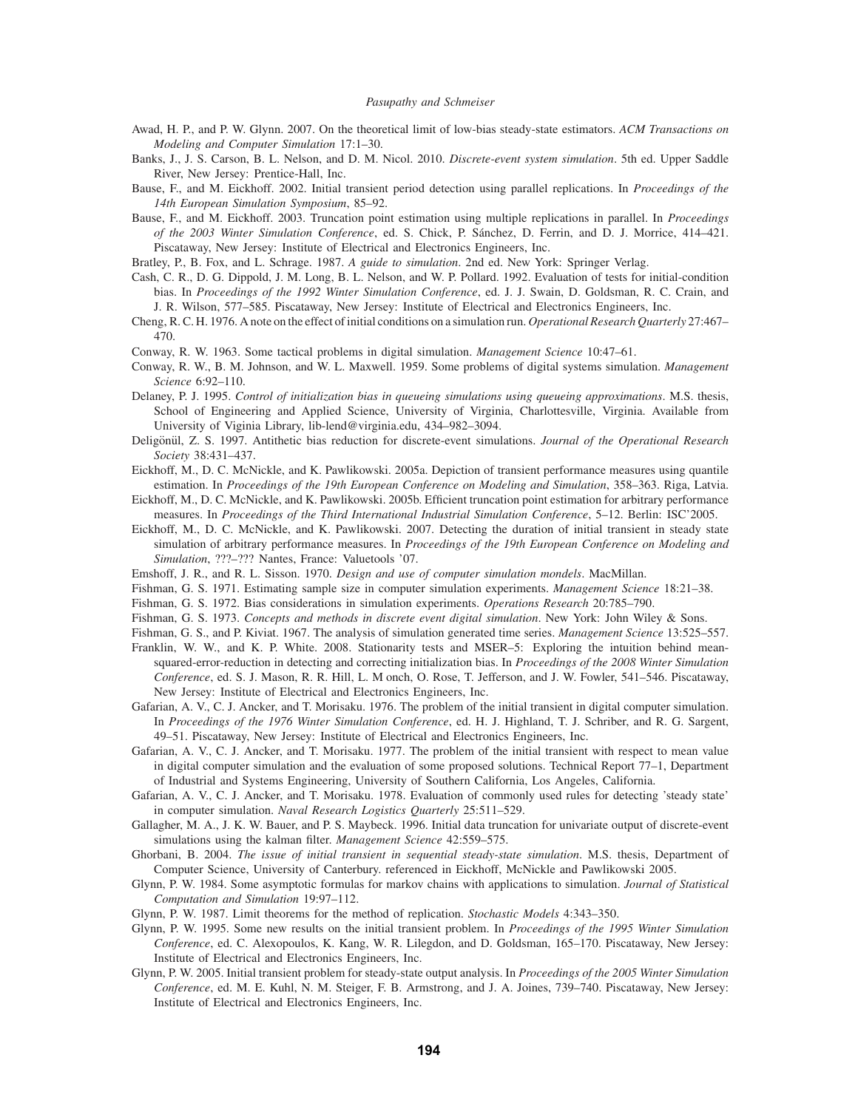- Awad, H. P., and P. W. Glynn. 2007. On the theoretical limit of low-bias steady-state estimators. *ACM Transactions on Modeling and Computer Simulation* 17:1–30.
- Banks, J., J. S. Carson, B. L. Nelson, and D. M. Nicol. 2010. *Discrete-event system simulation*. 5th ed. Upper Saddle River, New Jersey: Prentice-Hall, Inc.
- Bause, F., and M. Eickhoff. 2002. Initial transient period detection using parallel replications. In *Proceedings of the 14th European Simulation Symposium*, 85–92.
- Bause, F., and M. Eickhoff. 2003. Truncation point estimation using multiple replications in parallel. In *Proceedings of the 2003 Winter Simulation Conference*, ed. S. Chick, P. Sanchez, D. Ferrin, and D. J. Morrice, 414–421. ´ Piscataway, New Jersey: Institute of Electrical and Electronics Engineers, Inc.
- Bratley, P., B. Fox, and L. Schrage. 1987. *A guide to simulation*. 2nd ed. New York: Springer Verlag.
- Cash, C. R., D. G. Dippold, J. M. Long, B. L. Nelson, and W. P. Pollard. 1992. Evaluation of tests for initial-condition bias. In *Proceedings of the 1992 Winter Simulation Conference*, ed. J. J. Swain, D. Goldsman, R. C. Crain, and J. R. Wilson, 577–585. Piscataway, New Jersey: Institute of Electrical and Electronics Engineers, Inc.
- Cheng, R. C. H. 1976. A note on the effect of initial conditions on a simulation run. *Operational Research Quarterly* 27:467– 470.
- Conway, R. W. 1963. Some tactical problems in digital simulation. *Management Science* 10:47–61.
- Conway, R. W., B. M. Johnson, and W. L. Maxwell. 1959. Some problems of digital systems simulation. *Management Science* 6:92–110.
- Delaney, P. J. 1995. *Control of initialization bias in queueing simulations using queueing approximations*. M.S. thesis, School of Engineering and Applied Science, University of Virginia, Charlottesville, Virginia. Available from University of Viginia Library, lib-lend@virginia.edu, 434–982–3094.
- Deligonül, Z. S. 1997. Antithetic bias reduction for discrete-event simulations. *Journal of the Operational Research Society* 38:431–437.
- Eickhoff, M., D. C. McNickle, and K. Pawlikowski. 2005a. Depiction of transient performance measures using quantile estimation. In *Proceedings of the 19th European Conference on Modeling and Simulation*, 358–363. Riga, Latvia.
- Eickhoff, M., D. C. McNickle, and K. Pawlikowski. 2005b. Efficient truncation point estimation for arbitrary performance measures. In *Proceedings of the Third International Industrial Simulation Conference*, 5–12. Berlin: ISC'2005.
- Eickhoff, M., D. C. McNickle, and K. Pawlikowski. 2007. Detecting the duration of initial transient in steady state simulation of arbitrary performance measures. In *Proceedings of the 19th European Conference on Modeling and Simulation*, ???–??? Nantes, France: Valuetools '07.
- Emshoff, J. R., and R. L. Sisson. 1970. *Design and use of computer simulation mondels*. MacMillan.
- Fishman, G. S. 1971. Estimating sample size in computer simulation experiments. *Management Science* 18:21–38.
- Fishman, G. S. 1972. Bias considerations in simulation experiments. *Operations Research* 20:785–790.
- Fishman, G. S. 1973. *Concepts and methods in discrete event digital simulation*. New York: John Wiley & Sons.
- Fishman, G. S., and P. Kiviat. 1967. The analysis of simulation generated time series. *Management Science* 13:525–557. Franklin, W. W., and K. P. White. 2008. Stationarity tests and MSER–5: Exploring the intuition behind meansquared-error-reduction in detecting and correcting initialization bias. In *Proceedings of the 2008 Winter Simulation*
- *Conference*, ed. S. J. Mason, R. R. Hill, L. M onch, O. Rose, T. Jefferson, and J. W. Fowler, 541–546. Piscataway, New Jersey: Institute of Electrical and Electronics Engineers, Inc.
- Gafarian, A. V., C. J. Ancker, and T. Morisaku. 1976. The problem of the initial transient in digital computer simulation. In *Proceedings of the 1976 Winter Simulation Conference*, ed. H. J. Highland, T. J. Schriber, and R. G. Sargent, 49–51. Piscataway, New Jersey: Institute of Electrical and Electronics Engineers, Inc.
- Gafarian, A. V., C. J. Ancker, and T. Morisaku. 1977. The problem of the initial transient with respect to mean value in digital computer simulation and the evaluation of some proposed solutions. Technical Report 77–1, Department of Industrial and Systems Engineering, University of Southern California, Los Angeles, California.
- Gafarian, A. V., C. J. Ancker, and T. Morisaku. 1978. Evaluation of commonly used rules for detecting 'steady state' in computer simulation. *Naval Research Logistics Quarterly* 25:511–529.
- Gallagher, M. A., J. K. W. Bauer, and P. S. Maybeck. 1996. Initial data truncation for univariate output of discrete-event simulations using the kalman filter. *Management Science* 42:559–575.
- Ghorbani, B. 2004. *The issue of initial transient in sequential steady-state simulation*. M.S. thesis, Department of Computer Science, University of Canterbury. referenced in Eickhoff, McNickle and Pawlikowski 2005.
- Glynn, P. W. 1984. Some asymptotic formulas for markov chains with applications to simulation. *Journal of Statistical Computation and Simulation* 19:97–112.
- Glynn, P. W. 1987. Limit theorems for the method of replication. *Stochastic Models* 4:343–350.
- Glynn, P. W. 1995. Some new results on the initial transient problem. In *Proceedings of the 1995 Winter Simulation Conference*, ed. C. Alexopoulos, K. Kang, W. R. Lilegdon, and D. Goldsman, 165–170. Piscataway, New Jersey: Institute of Electrical and Electronics Engineers, Inc.
- Glynn, P. W. 2005. Initial transient problem for steady-state output analysis. In *Proceedings of the 2005 Winter Simulation Conference*, ed. M. E. Kuhl, N. M. Steiger, F. B. Armstrong, and J. A. Joines, 739–740. Piscataway, New Jersey: Institute of Electrical and Electronics Engineers, Inc.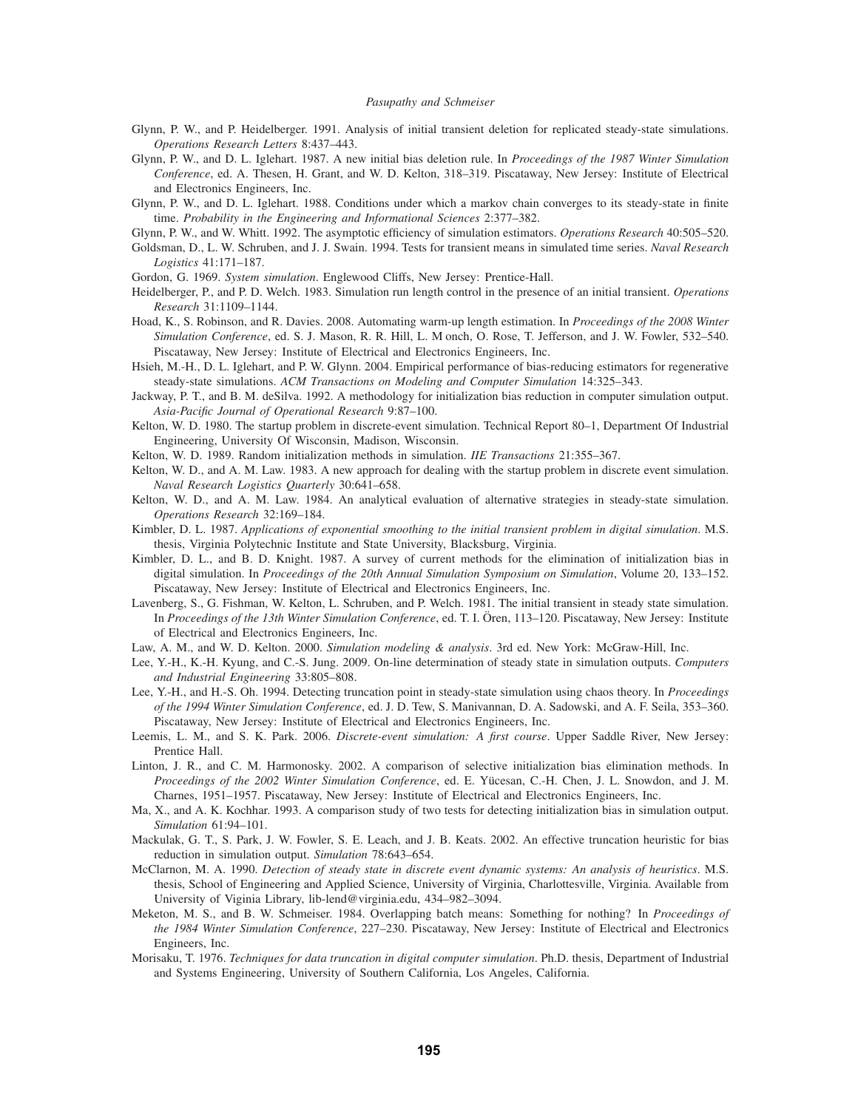- Glynn, P. W., and P. Heidelberger. 1991. Analysis of initial transient deletion for replicated steady-state simulations. *Operations Research Letters* 8:437–443.
- Glynn, P. W., and D. L. Iglehart. 1987. A new initial bias deletion rule. In *Proceedings of the 1987 Winter Simulation Conference*, ed. A. Thesen, H. Grant, and W. D. Kelton, 318–319. Piscataway, New Jersey: Institute of Electrical and Electronics Engineers, Inc.
- Glynn, P. W., and D. L. Iglehart. 1988. Conditions under which a markov chain converges to its steady-state in finite time. *Probability in the Engineering and Informational Sciences* 2:377–382.
- Glynn, P. W., and W. Whitt. 1992. The asymptotic efficiency of simulation estimators. *Operations Research* 40:505–520.
- Goldsman, D., L. W. Schruben, and J. J. Swain. 1994. Tests for transient means in simulated time series. *Naval Research Logistics* 41:171–187.
- Gordon, G. 1969. *System simulation*. Englewood Cliffs, New Jersey: Prentice-Hall.
- Heidelberger, P., and P. D. Welch. 1983. Simulation run length control in the presence of an initial transient. *Operations Research* 31:1109–1144.
- Hoad, K., S. Robinson, and R. Davies. 2008. Automating warm-up length estimation. In *Proceedings of the 2008 Winter Simulation Conference*, ed. S. J. Mason, R. R. Hill, L. M onch, O. Rose, T. Jefferson, and J. W. Fowler, 532–540. Piscataway, New Jersey: Institute of Electrical and Electronics Engineers, Inc.
- Hsieh, M.-H., D. L. Iglehart, and P. W. Glynn. 2004. Empirical performance of bias-reducing estimators for regenerative steady-state simulations. *ACM Transactions on Modeling and Computer Simulation* 14:325–343.
- Jackway, P. T., and B. M. deSilva. 1992. A methodology for initialization bias reduction in computer simulation output. *Asia-Pacific Journal of Operational Research* 9:87–100.
- Kelton, W. D. 1980. The startup problem in discrete-event simulation. Technical Report 80–1, Department Of Industrial Engineering, University Of Wisconsin, Madison, Wisconsin.
- Kelton, W. D. 1989. Random initialization methods in simulation. *IIE Transactions* 21:355–367.
- Kelton, W. D., and A. M. Law. 1983. A new approach for dealing with the startup problem in discrete event simulation. *Naval Research Logistics Quarterly* 30:641–658.
- Kelton, W. D., and A. M. Law. 1984. An analytical evaluation of alternative strategies in steady-state simulation. *Operations Research* 32:169–184.
- Kimbler, D. L. 1987. *Applications of exponential smoothing to the initial transient problem in digital simulation*. M.S. thesis, Virginia Polytechnic Institute and State University, Blacksburg, Virginia.
- Kimbler, D. L., and B. D. Knight. 1987. A survey of current methods for the elimination of initialization bias in digital simulation. In *Proceedings of the 20th Annual Simulation Symposium on Simulation*, Volume 20, 133–152. Piscataway, New Jersey: Institute of Electrical and Electronics Engineers, Inc.
- Lavenberg, S., G. Fishman, W. Kelton, L. Schruben, and P. Welch. 1981. The initial transient in steady state simulation. In Proceedings of the 13th Winter Simulation Conference, ed. T. I. Ören, 113–120. Piscataway, New Jersey: Institute of Electrical and Electronics Engineers, Inc.
- Law, A. M., and W. D. Kelton. 2000. *Simulation modeling & analysis*. 3rd ed. New York: McGraw-Hill, Inc.
- Lee, Y.-H., K.-H. Kyung, and C.-S. Jung. 2009. On-line determination of steady state in simulation outputs. *Computers and Industrial Engineering* 33:805–808.
- Lee, Y.-H., and H.-S. Oh. 1994. Detecting truncation point in steady-state simulation using chaos theory. In *Proceedings of the 1994 Winter Simulation Conference*, ed. J. D. Tew, S. Manivannan, D. A. Sadowski, and A. F. Seila, 353–360. Piscataway, New Jersey: Institute of Electrical and Electronics Engineers, Inc.
- Leemis, L. M., and S. K. Park. 2006. *Discrete-event simulation: A first course*. Upper Saddle River, New Jersey: Prentice Hall.
- Linton, J. R., and C. M. Harmonosky. 2002. A comparison of selective initialization bias elimination methods. In *Proceedings of the 2002 Winter Simulation Conference*, ed. E. Yucesan, C.-H. Chen, J. L. Snowdon, and J. M. ¨ Charnes, 1951–1957. Piscataway, New Jersey: Institute of Electrical and Electronics Engineers, Inc.
- Ma, X., and A. K. Kochhar. 1993. A comparison study of two tests for detecting initialization bias in simulation output. *Simulation* 61:94–101.
- Mackulak, G. T., S. Park, J. W. Fowler, S. E. Leach, and J. B. Keats. 2002. An effective truncation heuristic for bias reduction in simulation output. *Simulation* 78:643–654.
- McClarnon, M. A. 1990. *Detection of steady state in discrete event dynamic systems: An analysis of heuristics*. M.S. thesis, School of Engineering and Applied Science, University of Virginia, Charlottesville, Virginia. Available from University of Viginia Library, lib-lend@virginia.edu, 434–982–3094.
- Meketon, M. S., and B. W. Schmeiser. 1984. Overlapping batch means: Something for nothing? In *Proceedings of the 1984 Winter Simulation Conference*, 227–230. Piscataway, New Jersey: Institute of Electrical and Electronics Engineers, Inc.
- Morisaku, T. 1976. *Techniques for data truncation in digital computer simulation*. Ph.D. thesis, Department of Industrial and Systems Engineering, University of Southern California, Los Angeles, California.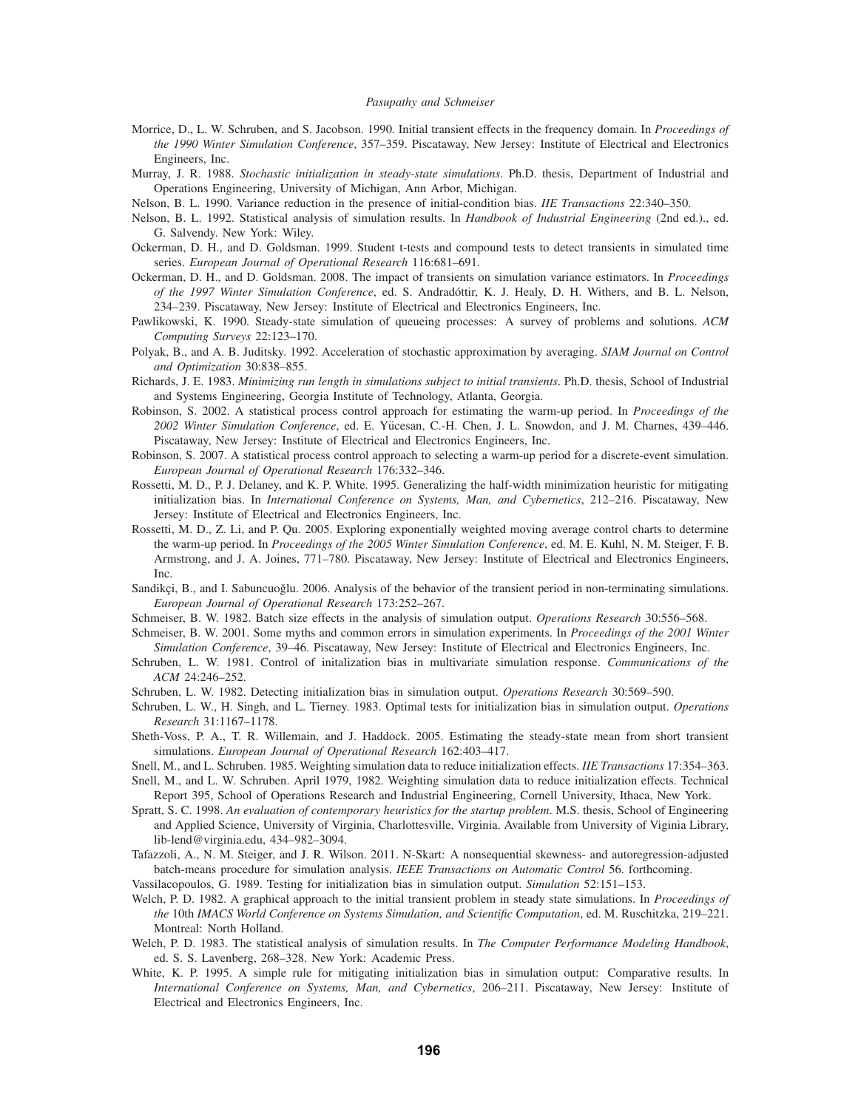- Morrice, D., L. W. Schruben, and S. Jacobson. 1990. Initial transient effects in the frequency domain. In *Proceedings of the 1990 Winter Simulation Conference*, 357–359. Piscataway, New Jersey: Institute of Electrical and Electronics Engineers, Inc.
- Murray, J. R. 1988. *Stochastic initialization in steady-state simulations*. Ph.D. thesis, Department of Industrial and Operations Engineering, University of Michigan, Ann Arbor, Michigan.
- Nelson, B. L. 1990. Variance reduction in the presence of initial-condition bias. *IIE Transactions* 22:340–350.
- Nelson, B. L. 1992. Statistical analysis of simulation results. In *Handbook of Industrial Engineering* (2nd ed.)., ed. G. Salvendy. New York: Wiley.
- Ockerman, D. H., and D. Goldsman. 1999. Student t-tests and compound tests to detect transients in simulated time series. *European Journal of Operational Research* 116:681–691.
- Ockerman, D. H., and D. Goldsman. 2008. The impact of transients on simulation variance estimators. In *Proceedings of the 1997 Winter Simulation Conference*, ed. S. Andradottir, K. J. Healy, D. H. Withers, and B. L. Nelson, ´ 234–239. Piscataway, New Jersey: Institute of Electrical and Electronics Engineers, Inc.
- Pawlikowski, K. 1990. Steady-state simulation of queueing processes: A survey of problems and solutions. *ACM Computing Surveys* 22:123–170.
- Polyak, B., and A. B. Juditsky. 1992. Acceleration of stochastic approximation by averaging. *SIAM Journal on Control and Optimization* 30:838–855.
- Richards, J. E. 1983. *Minimizing run length in simulations subject to initial transients*. Ph.D. thesis, School of Industrial and Systems Engineering, Georgia Institute of Technology, Atlanta, Georgia.
- Robinson, S. 2002. A statistical process control approach for estimating the warm-up period. In *Proceedings of the 2002 Winter Simulation Conference*, ed. E. Yucesan, C.-H. Chen, J. L. Snowdon, and J. M. Charnes, 439–446. ¨ Piscataway, New Jersey: Institute of Electrical and Electronics Engineers, Inc.
- Robinson, S. 2007. A statistical process control approach to selecting a warm-up period for a discrete-event simulation. *European Journal of Operational Research* 176:332–346.
- Rossetti, M. D., P. J. Delaney, and K. P. White. 1995. Generalizing the half-width minimization heuristic for mitigating initialization bias. In *International Conference on Systems, Man, and Cybernetics*, 212–216. Piscataway, New Jersey: Institute of Electrical and Electronics Engineers, Inc.
- Rossetti, M. D., Z. Li, and P. Qu. 2005. Exploring exponentially weighted moving average control charts to determine the warm-up period. In *Proceedings of the 2005 Winter Simulation Conference*, ed. M. E. Kuhl, N. M. Steiger, F. B. Armstrong, and J. A. Joines, 771–780. Piscataway, New Jersey: Institute of Electrical and Electronics Engineers, Inc.
- Sandikçi, B., and I. Sabuncuoğlu. 2006. Analysis of the behavior of the transient period in non-terminating simulations. *European Journal of Operational Research* 173:252–267.
- Schmeiser, B. W. 1982. Batch size effects in the analysis of simulation output. *Operations Research* 30:556–568.
- Schmeiser, B. W. 2001. Some myths and common errors in simulation experiments. In *Proceedings of the 2001 Winter Simulation Conference*, 39–46. Piscataway, New Jersey: Institute of Electrical and Electronics Engineers, Inc.
- Schruben, L. W. 1981. Control of initalization bias in multivariate simulation response. *Communications of the ACM* 24:246–252.
- Schruben, L. W. 1982. Detecting initialization bias in simulation output. *Operations Research* 30:569–590.
- Schruben, L. W., H. Singh, and L. Tierney. 1983. Optimal tests for initialization bias in simulation output. *Operations Research* 31:1167–1178.
- Sheth-Voss, P. A., T. R. Willemain, and J. Haddock. 2005. Estimating the steady-state mean from short transient simulations. *European Journal of Operational Research* 162:403–417.
- Snell, M., and L. Schruben. 1985. Weighting simulation data to reduce initialization effects. *IIE Transactions* 17:354–363.
- Snell, M., and L. W. Schruben. April 1979, 1982. Weighting simulation data to reduce initialization effects. Technical Report 395, School of Operations Research and Industrial Engineering, Cornell University, Ithaca, New York.
- Spratt, S. C. 1998. *An evaluation of contemporary heuristics for the startup problem*. M.S. thesis, School of Engineering and Applied Science, University of Virginia, Charlottesville, Virginia. Available from University of Viginia Library, lib-lend@virginia.edu, 434–982–3094.
- Tafazzoli, A., N. M. Steiger, and J. R. Wilson. 2011. N-Skart: A nonsequential skewness- and autoregression-adjusted batch-means procedure for simulation analysis. *IEEE Transactions on Automatic Control* 56. forthcoming.
- Vassilacopoulos, G. 1989. Testing for initialization bias in simulation output. *Simulation* 52:151–153.
- Welch, P. D. 1982. A graphical approach to the initial transient problem in steady state simulations. In *Proceedings of the* 10th *IMACS World Conference on Systems Simulation, and Scientific Computation*, ed. M. Ruschitzka, 219–221. Montreal: North Holland.
- Welch, P. D. 1983. The statistical analysis of simulation results. In *The Computer Performance Modeling Handbook*, ed. S. S. Lavenberg, 268–328. New York: Academic Press.
- White, K. P. 1995. A simple rule for mitigating initialization bias in simulation output: Comparative results. In *International Conference on Systems, Man, and Cybernetics*, 206–211. Piscataway, New Jersey: Institute of Electrical and Electronics Engineers, Inc.